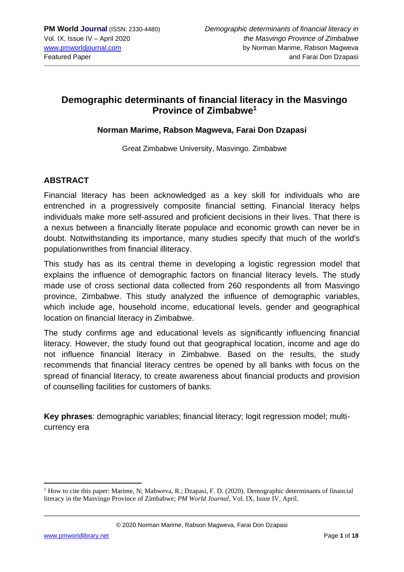## **Demographic determinants of financial literacy in the Masvingo Province of Zimbabwe<sup>1</sup>**

#### **Norman Marime, Rabson Magweva, Farai Don Dzapasi**

Great Zimbabwe University, Masvingo. Zimbabwe

## **ABSTRACT**

Financial literacy has been acknowledged as a key skill for individuals who are entrenched in a progressively composite financial setting. Financial literacy helps individuals make more self-assured and proficient decisions in their lives. That there is a nexus between a financially literate populace and economic growth can never be in doubt. Notwithstanding its importance, many studies specify that much of the world's populationwrithes from financial illiteracy.

This study has as its central theme in developing a logistic regression model that explains the influence of demographic factors on financial literacy levels. The study made use of cross sectional data collected from 260 respondents all from Masvingo province, Zimbabwe. This study analyzed the influence of demographic variables, which include age, household income, educational levels, gender and geographical location on financial literacy in Zimbabwe.

The study confirms age and educational levels as significantly influencing financial literacy. However, the study found out that geographical location, income and age do not influence financial literacy in Zimbabwe. Based on the results, the study recommends that financial literacy centres be opened by all banks with focus on the spread of financial literacy, to create awareness about financial products and provision of counselling facilities for customers of banks.

**Key phrases**: demographic variables; financial literacy; logit regression model; multicurrency era

© 2020 Norman Marime, Rabson Magweva, Farai Don Dzapasi

<sup>1</sup> How to cite this paper: Marime, N; Mabweva, R.; Dzapasi, F. D. (2020). Demographic determinants of financial literacy in the Masvingo Province of Zimbabwe; *PM World Journal*, Vol. IX, Issue IV, April.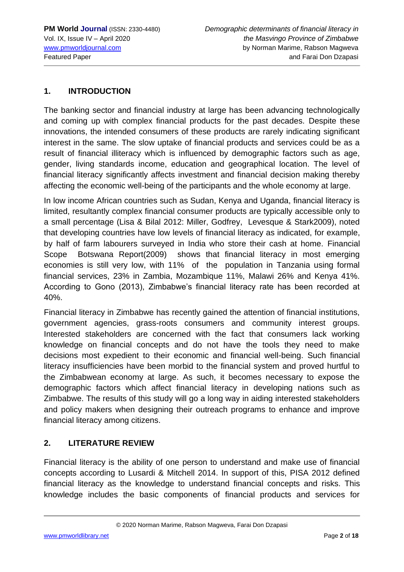## **1. INTRODUCTION**

The banking sector and financial industry at large has been advancing technologically and coming up with complex financial products for the past decades. Despite these innovations, the intended consumers of these products are rarely indicating significant interest in the same. The slow uptake of financial products and services could be as a result of financial illiteracy which is influenced by demographic factors such as age, gender, living standards income, education and geographical location. The level of financial literacy significantly affects investment and financial decision making thereby affecting the economic well-being of the participants and the whole economy at large.

In low income African countries such as Sudan, Kenya and Uganda, financial literacy is limited, resultantly complex financial consumer products are typically accessible only to a small percentage (Lisa & Bilal 2012: Miller, Godfrey, Levesque & Stark2009), noted that developing countries have low levels of financial literacy as indicated, for example, by half of farm labourers surveyed in India who store their cash at home. Financial Scope Botswana Report(2009) shows that financial literacy in most emerging economies is still very low, with 11% of the population in Tanzania using formal financial services, 23% in Zambia, Mozambique 11%, Malawi 26% and Kenya 41%. According to Gono (2013), Zimbabwe's financial literacy rate has been recorded at 40%.

Financial literacy in Zimbabwe has recently gained the attention of financial institutions, government agencies, grass-roots consumers and community interest groups. Interested stakeholders are concerned with the fact that consumers lack working knowledge on financial concepts and do not have the tools they need to make decisions most expedient to their economic and financial well-being. Such financial literacy insufficiencies have been morbid to the financial system and proved hurtful to the Zimbabwean economy at large. As such, it becomes necessary to expose the demographic factors which affect financial literacy in developing nations such as Zimbabwe. The results of this study will go a long way in aiding interested stakeholders and policy makers when designing their outreach programs to enhance and improve financial literacy among citizens.

## **2. LITERATURE REVIEW**

Financial literacy is the ability of one person to understand and make use of financial concepts according to Lusardi & Mitchell 2014. In support of this, PISA 2012 defined financial literacy as the knowledge to understand financial concepts and risks. This knowledge includes the basic components of financial products and services for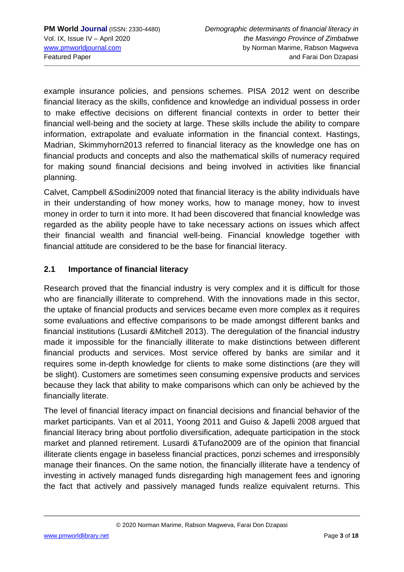example insurance policies, and pensions schemes. PISA 2012 went on describe financial literacy as the skills, confidence and knowledge an individual possess in order to make effective decisions on different financial contexts in order to better their financial well-being and the society at large. These skills include the ability to compare information, extrapolate and evaluate information in the financial context. Hastings, Madrian, Skimmyhorn2013 referred to financial literacy as the knowledge one has on financial products and concepts and also the mathematical skills of numeracy required for making sound financial decisions and being involved in activities like financial planning.

Calvet, Campbell &Sodini2009 noted that financial literacy is the ability individuals have in their understanding of how money works, how to manage money, how to invest money in order to turn it into more. It had been discovered that financial knowledge was regarded as the ability people have to take necessary actions on issues which affect their financial wealth and financial well-being. Financial knowledge together with financial attitude are considered to be the base for financial literacy.

## **2.1 Importance of financial literacy**

Research proved that the financial industry is very complex and it is difficult for those who are financially illiterate to comprehend. With the innovations made in this sector, the uptake of financial products and services became even more complex as it requires some evaluations and effective comparisons to be made amongst different banks and financial institutions (Lusardi &Mitchell 2013). The deregulation of the financial industry made it impossible for the financially illiterate to make distinctions between different financial products and services. Most service offered by banks are similar and it requires some in-depth knowledge for clients to make some distinctions (are they will be slight). Customers are sometimes seen consuming expensive products and services because they lack that ability to make comparisons which can only be achieved by the financially literate.

The level of financial literacy impact on financial decisions and financial behavior of the market participants. Van et al 2011, Yoong 2011 and Guiso & Japelli 2008 argued that financial literacy bring about portfolio diversification, adequate participation in the stock market and planned retirement. Lusardi &Tufano2009 are of the opinion that financial illiterate clients engage in baseless financial practices, ponzi schemes and irresponsibly manage their finances. On the same notion, the financially illiterate have a tendency of investing in actively managed funds disregarding high management fees and ignoring the fact that actively and passively managed funds realize equivalent returns. This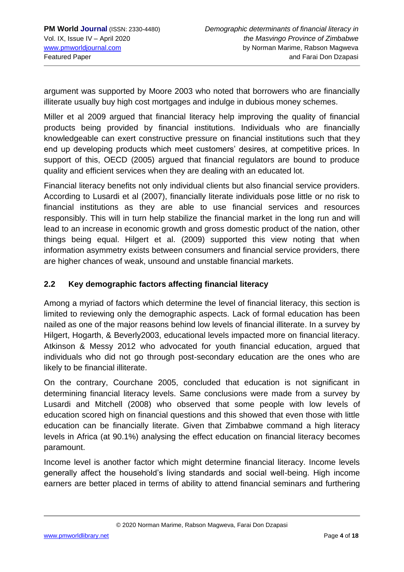argument was supported by Moore 2003 who noted that borrowers who are financially illiterate usually buy high cost mortgages and indulge in dubious money schemes.

Miller et al 2009 argued that financial literacy help improving the quality of financial products being provided by financial institutions. Individuals who are financially knowledgeable can exert constructive pressure on financial institutions such that they end up developing products which meet customers' desires, at competitive prices. In support of this, OECD (2005) argued that financial regulators are bound to produce quality and efficient services when they are dealing with an educated lot.

Financial literacy benefits not only individual clients but also financial service providers. According to Lusardi et al (2007), financially literate individuals pose little or no risk to financial institutions as they are able to use financial services and resources responsibly. This will in turn help stabilize the financial market in the long run and will lead to an increase in economic growth and gross domestic product of the nation, other things being equal. Hilgert et al. (2009) supported this view noting that when information asymmetry exists between consumers and financial service providers, there are higher chances of weak, unsound and unstable financial markets.

## **2.2 Key demographic factors affecting financial literacy**

Among a myriad of factors which determine the level of financial literacy, this section is limited to reviewing only the demographic aspects. Lack of formal education has been nailed as one of the major reasons behind low levels of financial illiterate. In a survey by Hilgert, Hogarth, & Beverly2003, educational levels impacted more on financial literacy. Atkinson & Messy 2012 who advocated for youth financial education, argued that individuals who did not go through post-secondary education are the ones who are likely to be financial illiterate.

On the contrary, Courchane 2005, concluded that education is not significant in determining financial literacy levels. Same conclusions were made from a survey by Lusardi and Mitchell (2008) who observed that some people with low levels of education scored high on financial questions and this showed that even those with little education can be financially literate. Given that Zimbabwe command a high literacy levels in Africa (at 90.1%) analysing the effect education on financial literacy becomes paramount.

Income level is another factor which might determine financial literacy. Income levels generally affect the household's living standards and social well-being. High income earners are better placed in terms of ability to attend financial seminars and furthering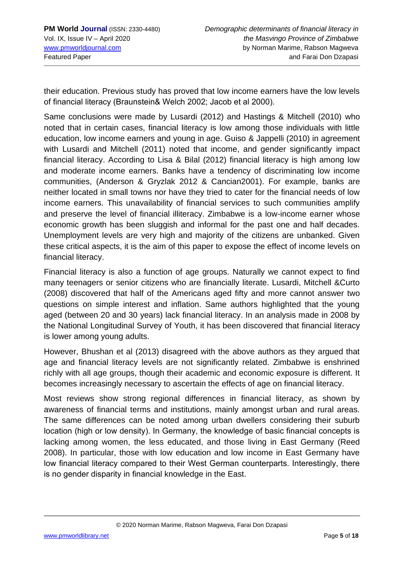their education. Previous study has proved that low income earners have the low levels of financial literacy (Braunstein& Welch 2002; Jacob et al 2000).

Same conclusions were made by Lusardi (2012) and Hastings & Mitchell (2010) who noted that in certain cases, financial literacy is low among those individuals with little education, low income earners and young in age. Guiso & Jappelli (2010) in agreement with Lusardi and Mitchell (2011) noted that income, and gender significantly impact financial literacy. According to Lisa & Bilal (2012) financial literacy is high among low and moderate income earners. Banks have a tendency of discriminating low income communities, (Anderson & Gryzlak 2012 & Cancian2001). For example, banks are neither located in small towns nor have they tried to cater for the financial needs of low income earners. This unavailability of financial services to such communities amplify and preserve the level of financial illiteracy. Zimbabwe is a low-income earner whose economic growth has been sluggish and informal for the past one and half decades. Unemployment levels are very high and majority of the citizens are unbanked. Given these critical aspects, it is the aim of this paper to expose the effect of income levels on financial literacy.

Financial literacy is also a function of age groups. Naturally we cannot expect to find many teenagers or senior citizens who are financially literate. Lusardi, Mitchell &Curto (2008) discovered that half of the Americans aged fifty and more cannot answer two questions on simple interest and inflation. Same authors highlighted that the young aged (between 20 and 30 years) lack financial literacy. In an analysis made in 2008 by the National Longitudinal Survey of Youth, it has been discovered that financial literacy is lower among young adults.

However, Bhushan et al (2013) disagreed with the above authors as they argued that age and financial literacy levels are not significantly related. Zimbabwe is enshrined richly with all age groups, though their academic and economic exposure is different. It becomes increasingly necessary to ascertain the effects of age on financial literacy.

Most reviews show strong regional differences in financial literacy, as shown by awareness of financial terms and institutions, mainly amongst urban and rural areas. The same differences can be noted among urban dwellers considering their suburb location (high or low density). In Germany, the knowledge of basic financial concepts is lacking among women, the less educated, and those living in East Germany (Reed 2008). In particular, those with low education and low income in East Germany have low financial literacy compared to their West German counterparts. Interestingly, there is no gender disparity in financial knowledge in the East.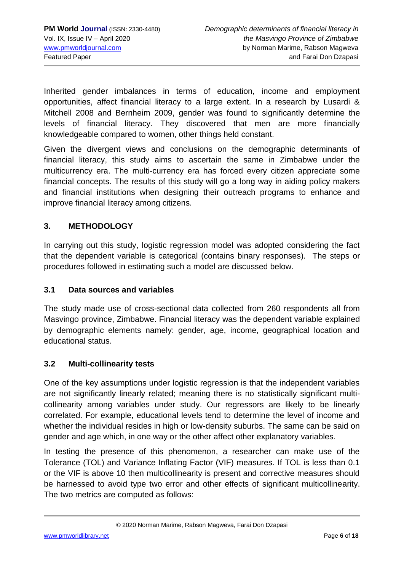Inherited gender imbalances in terms of education, income and employment opportunities, affect financial literacy to a large extent. In a research by Lusardi & Mitchell 2008 and Bernheim 2009, gender was found to significantly determine the levels of financial literacy. They discovered that men are more financially knowledgeable compared to women, other things held constant.

Given the divergent views and conclusions on the demographic determinants of financial literacy, this study aims to ascertain the same in Zimbabwe under the multicurrency era. The multi-currency era has forced every citizen appreciate some financial concepts. The results of this study will go a long way in aiding policy makers and financial institutions when designing their outreach programs to enhance and improve financial literacy among citizens.

## **3. METHODOLOGY**

In carrying out this study, logistic regression model was adopted considering the fact that the dependent variable is categorical (contains binary responses). The steps or procedures followed in estimating such a model are discussed below.

### **3.1 Data sources and variables**

The study made use of cross-sectional data collected from 260 respondents all from Masvingo province, Zimbabwe. Financial literacy was the dependent variable explained by demographic elements namely: gender, age, income, geographical location and educational status.

## **3.2 Multi-collinearity tests**

One of the key assumptions under logistic regression is that the independent variables are not significantly linearly related; meaning there is no statistically significant multicollinearity among variables under study. Our regressors are likely to be linearly correlated. For example, educational levels tend to determine the level of income and whether the individual resides in high or low-density suburbs. The same can be said on gender and age which, in one way or the other affect other explanatory variables.

In testing the presence of this phenomenon, a researcher can make use of the Tolerance (TOL) and Variance Inflating Factor (VIF) measures. If TOL is less than 0.1 or the VIF is above 10 then multicollinearity is present and corrective measures should be harnessed to avoid type two error and other effects of significant multicollinearity. The two metrics are computed as follows: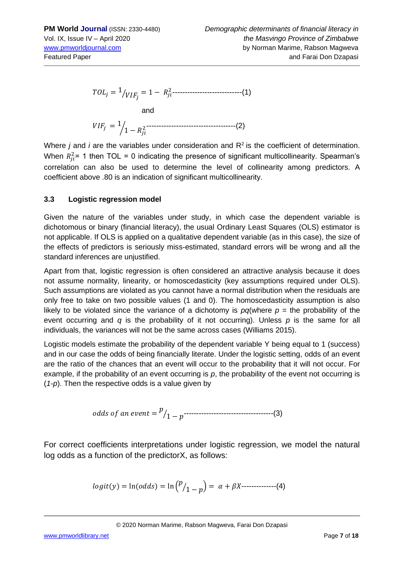<sup>=</sup> <sup>1</sup> ⁄ = 1 − 2 ----------------------------(1) and <sup>=</sup> <sup>1</sup> <sup>1</sup> <sup>−</sup> <sup>⁄</sup> <sup>2</sup>------------------------------------(2)

Where *j* and *i* are the variables under consideration and R<sup>2</sup> is the coefficient of determination. When  $R_{ji}^2$ = 1 then TOL = 0 indicating the presence of significant multicollinearity. Spearman's correlation can also be used to determine the level of collinearity among predictors. A coefficient above .80 is an indication of significant multicollinearity.

#### **3.3 Logistic regression model**

Given the nature of the variables under study, in which case the dependent variable is dichotomous or binary (financial literacy), the usual Ordinary Least Squares (OLS) estimator is not applicable. If OLS is applied on a qualitative dependent variable (as in this case), the size of the effects of predictors is seriously miss-estimated, standard errors will be wrong and all the standard inferences are uniustified.

Apart from that, logistic regression is often considered an attractive analysis because it does not assume normality, linearity, or homoscedasticity (key assumptions required under OLS). Such assumptions are violated as you cannot have a normal distribution when the residuals are only free to take on two possible values (1 and 0). The homoscedasticity assumption is also likely to be violated since the variance of a dichotomy is  $pq$ (where  $p =$  the probability of the event occurring and *q* is the probability of it not occurring). Unless *p* is the same for all individuals, the variances will not be the same across cases (Williams 2015).

Logistic models estimate the probability of the dependent variable Y being equal to 1 (success) and in our case the odds of being financially literate. Under the logistic setting, odds of an event are the ratio of the chances that an event will occur to the probability that it will not occur. For example, if the probability of an event occurring is *p*, the probability of the event not occurring is (*1*-*p*). Then the respective odds is a value given by

odds of an event = 
$$
\frac{p}{1-p}
$$
 \n $\frac{p}{1-p}$ 

For correct coefficients interpretations under logistic regression, we model the natural log odds as a function of the predictorX, as follows:

$$
logit(y) = ln(odds) = ln {p \choose 1-p} = \alpha + \beta X
$$
........(4)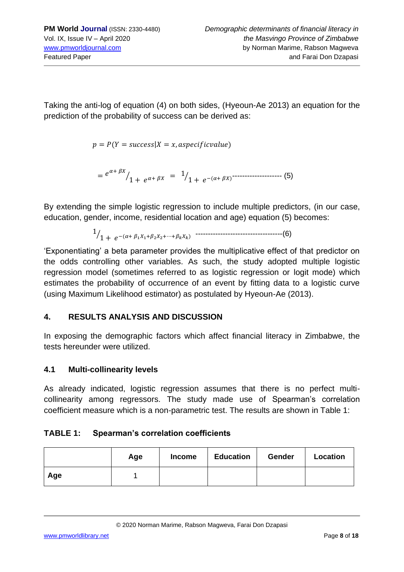Taking the anti-log of equation (4) on both sides, (Hyeoun-Ae 2013) an equation for the prediction of the probability of success can be derived as:

 $p = P(Y = success | X = x, aspectficvalue)$ 

 $= e^{\alpha + \beta X}$ 1 + <sup>⁄</sup> + <sup>=</sup> <sup>1</sup> 1 + ⁄ −(+ ) -------------------- (5)

By extending the simple logistic regression to include multiple predictors, (in our case, education, gender, income, residential location and age) equation (5) becomes:

1 1 + ⁄ −(+ 11+22+⋯+) -----------------------------------(6)

'Exponentiating' a beta parameter provides the multiplicative effect of that predictor on the odds controlling other variables. As such, the study adopted multiple logistic regression model (sometimes referred to as logistic regression or logit mode) which estimates the probability of occurrence of an event by fitting data to a logistic curve (using Maximum Likelihood estimator) as postulated by Hyeoun-Ae (2013).

## **4. RESULTS ANALYSIS AND DISCUSSION**

In exposing the demographic factors which affect financial literacy in Zimbabwe, the tests hereunder were utilized.

## **4.1 Multi-collinearity levels**

As already indicated, logistic regression assumes that there is no perfect multicollinearity among regressors. The study made use of Spearman's correlation coefficient measure which is a non-parametric test. The results are shown in Table 1:

## **TABLE 1: Spearman's correlation coefficients**

|     | Age | <b>Income</b> | <b>Education</b> | <b>Gender</b> | Location |
|-----|-----|---------------|------------------|---------------|----------|
| Age |     |               |                  |               |          |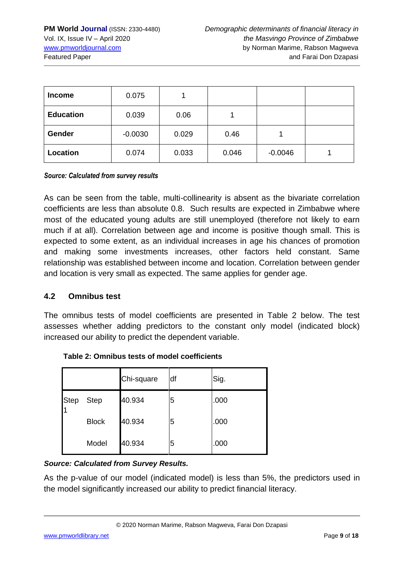| <b>Income</b>    | 0.075     |       |       |           |  |
|------------------|-----------|-------|-------|-----------|--|
| <b>Education</b> | 0.039     | 0.06  |       |           |  |
| Gender           | $-0.0030$ | 0.029 | 0.46  |           |  |
| Location         | 0.074     | 0.033 | 0.046 | $-0.0046$ |  |

#### *Source: Calculated from survey results*

As can be seen from the table, multi-collinearity is absent as the bivariate correlation coefficients are less than absolute 0.8. Such results are expected in Zimbabwe where most of the educated young adults are still unemployed (therefore not likely to earn much if at all). Correlation between age and income is positive though small. This is expected to some extent, as an individual increases in age his chances of promotion and making some investments increases, other factors held constant. Same relationship was established between income and location. Correlation between gender and location is very small as expected. The same applies for gender age.

#### **4.2 Omnibus test**

The omnibus tests of model coefficients are presented in Table 2 below. The test assesses whether adding predictors to the constant only model (indicated block) increased our ability to predict the dependent variable.

|             |              | Chi-square | df | Sig. |
|-------------|--------------|------------|----|------|
| <b>Step</b> | <b>Step</b>  | 40.934     | 5  | .000 |
|             | <b>Block</b> | 40.934     | 5  | .000 |
|             | Model        | 40.934     | 5  | .000 |

**Table 2: Omnibus tests of model coefficients**

#### *Source: Calculated from Survey Results.*

As the p-value of our model (indicated model) is less than 5%, the predictors used in the model significantly increased our ability to predict financial literacy.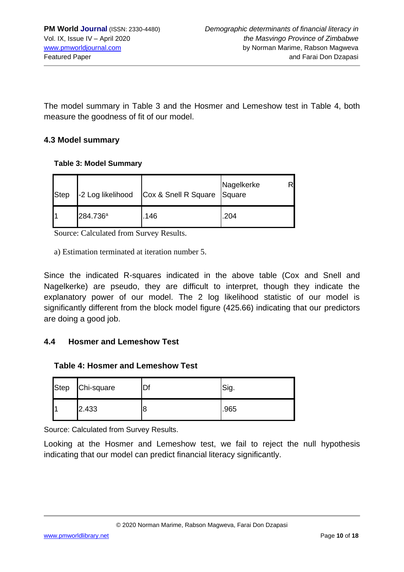The model summary in Table 3 and the Hosmer and Lemeshow test in Table 4, both measure the goodness of fit of our model.

#### **4.3 Model summary**

#### **Table 3: Model Summary**

| <b>Step</b> |                      | -2 Log likelihood Cox & Snell R Square Square | Nagelkerke |
|-------------|----------------------|-----------------------------------------------|------------|
|             | 284.736 <sup>a</sup> | .146                                          | .204       |

Source: Calculated from Survey Results.

a) Estimation terminated at iteration number 5.

Since the indicated R-squares indicated in the above table (Cox and Snell and Nagelkerke) are pseudo, they are difficult to interpret, though they indicate the explanatory power of our model. The 2 log likelihood statistic of our model is significantly different from the block model figure (425.66) indicating that our predictors are doing a good job.

#### **4.4 Hosmer and Lemeshow Test**

#### **Table 4: Hosmer and Lemeshow Test**

| <b>Step</b> | Chi-square |   | Sig. |
|-------------|------------|---|------|
|             | 2.433      | 8 | .965 |

Source: Calculated from Survey Results.

Looking at the Hosmer and Lemeshow test, we fail to reject the null hypothesis indicating that our model can predict financial literacy significantly.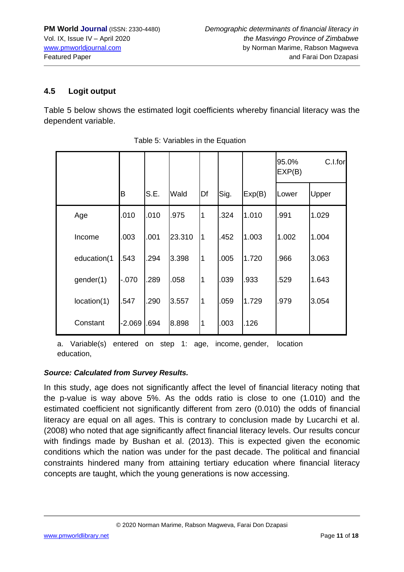### **4.5 Logit output**

Table 5 below shows the estimated logit coefficients whereby financial literacy was the dependent variable.

|             |          |      |        |                |      |        | 95.0%<br>EXP(B) | C.I.for |
|-------------|----------|------|--------|----------------|------|--------|-----------------|---------|
|             | B        | S.E. | Wald   | Df             | Sig. | Exp(B) | Lower           | Upper   |
| Age         | 010      | .010 | .975   | $\overline{1}$ | .324 | 1.010  | .991            | 1.029   |
| Income      | 003      | .001 | 23.310 | $\overline{1}$ | .452 | 1.003  | 1.002           | 1.004   |
| education(1 | 543      | .294 | 3.398  | $\overline{1}$ | .005 | 1.720  | .966            | 3.063   |
| gender(1)   | $-070$   | .289 | .058   | $\overline{1}$ | .039 | .933   | .529            | 1.643   |
| location(1) | 547      | .290 | 3.557  | $\overline{1}$ | .059 | 1.729  | .979            | 3.054   |
| Constant    | $-2.069$ | .694 | 8.898  | $\vert$ 1      | .003 | .126   |                 |         |

| Table 5: Variables in the Equation |  |  |
|------------------------------------|--|--|
|                                    |  |  |

a. Variable(s) entered on step 1: age, income, gender, location education,

#### *Source: Calculated from Survey Results.*

In this study, age does not significantly affect the level of financial literacy noting that the p-value is way above 5%. As the odds ratio is close to one (1.010) and the estimated coefficient not significantly different from zero (0.010) the odds of financial literacy are equal on all ages. This is contrary to conclusion made by Lucarchi et al. (2008) who noted that age significantly affect financial literacy levels. Our results concur with findings made by Bushan et al. (2013). This is expected given the economic conditions which the nation was under for the past decade. The political and financial constraints hindered many from attaining tertiary education where financial literacy concepts are taught, which the young generations is now accessing.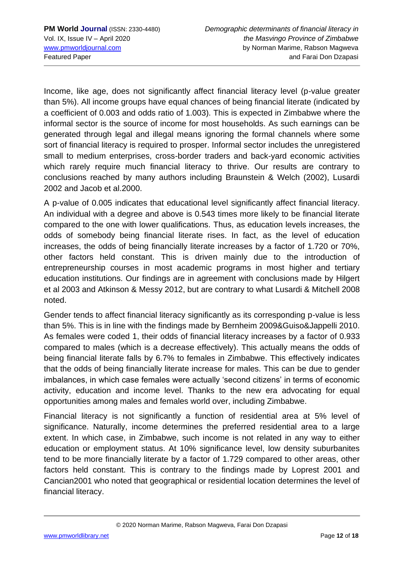Income, like age, does not significantly affect financial literacy level (p-value greater than 5%). All income groups have equal chances of being financial literate (indicated by a coefficient of 0.003 and odds ratio of 1.003). This is expected in Zimbabwe where the informal sector is the source of income for most households. As such earnings can be generated through legal and illegal means ignoring the formal channels where some sort of financial literacy is required to prosper. Informal sector includes the unregistered small to medium enterprises, cross-border traders and back-yard economic activities which rarely require much financial literacy to thrive. Our results are contrary to conclusions reached by many authors including Braunstein & Welch (2002), Lusardi 2002 and Jacob et al.2000.

A p-value of 0.005 indicates that educational level significantly affect financial literacy. An individual with a degree and above is 0.543 times more likely to be financial literate compared to the one with lower qualifications. Thus, as education levels increases, the odds of somebody being financial literate rises. In fact, as the level of education increases, the odds of being financially literate increases by a factor of 1.720 or 70%, other factors held constant. This is driven mainly due to the introduction of entrepreneurship courses in most academic programs in most higher and tertiary education institutions. Our findings are in agreement with conclusions made by Hilgert et al 2003 and Atkinson & Messy 2012, but are contrary to what Lusardi & Mitchell 2008 noted.

Gender tends to affect financial literacy significantly as its corresponding p-value is less than 5%. This is in line with the findings made by Bernheim 2009&Guiso&Jappelli 2010. As females were coded 1, their odds of financial literacy increases by a factor of 0.933 compared to males (which is a decrease effectively). This actually means the odds of being financial literate falls by 6.7% to females in Zimbabwe. This effectively indicates that the odds of being financially literate increase for males. This can be due to gender imbalances, in which case females were actually 'second citizens' in terms of economic activity, education and income level. Thanks to the new era advocating for equal opportunities among males and females world over, including Zimbabwe.

Financial literacy is not significantly a function of residential area at 5% level of significance. Naturally, income determines the preferred residential area to a large extent. In which case, in Zimbabwe, such income is not related in any way to either education or employment status. At 10% significance level, low density suburbanites tend to be more financially literate by a factor of 1.729 compared to other areas, other factors held constant. This is contrary to the findings made by Loprest 2001 and Cancian2001 who noted that geographical or residential location determines the level of financial literacy.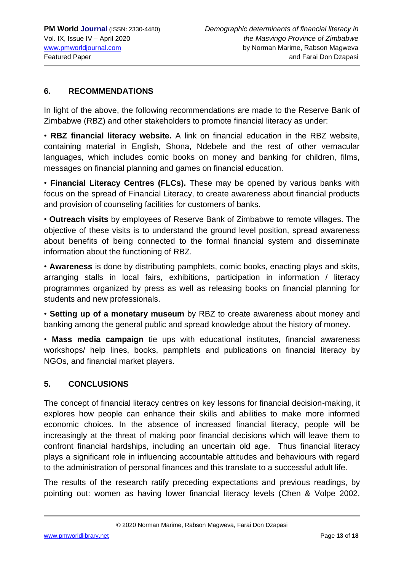### **6. RECOMMENDATIONS**

In light of the above, the following recommendations are made to the Reserve Bank of Zimbabwe (RBZ) and other stakeholders to promote financial literacy as under:

• **RBZ financial literacy website.** A link on financial education in the RBZ website, containing material in English, Shona, Ndebele and the rest of other vernacular languages, which includes comic books on money and banking for children, films, messages on financial planning and games on financial education.

• **Financial Literacy Centres (FLCs).** These may be opened by various banks with focus on the spread of Financial Literacy, to create awareness about financial products and provision of counseling facilities for customers of banks.

• **Outreach visits** by employees of Reserve Bank of Zimbabwe to remote villages. The objective of these visits is to understand the ground level position, spread awareness about benefits of being connected to the formal financial system and disseminate information about the functioning of RBZ.

• **Awareness** is done by distributing pamphlets, comic books, enacting plays and skits, arranging stalls in local fairs, exhibitions, participation in information / literacy programmes organized by press as well as releasing books on financial planning for students and new professionals.

• **Setting up of a monetary museum** by RBZ to create awareness about money and banking among the general public and spread knowledge about the history of money.

• **Mass media campaign** tie ups with educational institutes, financial awareness workshops/ help lines, books, pamphlets and publications on financial literacy by NGOs, and financial market players.

#### **5. CONCLUSIONS**

The concept of financial literacy centres on key lessons for financial decision-making, it explores how people can enhance their skills and abilities to make more informed economic choices. In the absence of increased financial literacy, people will be increasingly at the threat of making poor financial decisions which will leave them to confront financial hardships, including an uncertain old age. Thus financial literacy plays a significant role in influencing accountable attitudes and behaviours with regard to the administration of personal finances and this translate to a successful adult life.

The results of the research ratify preceding expectations and previous readings, by pointing out: women as having lower financial literacy levels (Chen & Volpe 2002,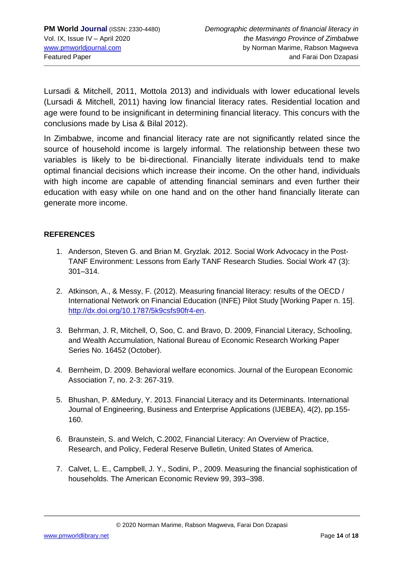Lursadi & Mitchell, 2011, Mottola 2013) and individuals with lower educational levels (Lursadi & Mitchell, 2011) having low financial literacy rates. Residential location and age were found to be insignificant in determining financial literacy. This concurs with the conclusions made by Lisa & Bilal 2012).

In Zimbabwe, income and financial literacy rate are not significantly related since the source of household income is largely informal. The relationship between these two variables is likely to be bi-directional. Financially literate individuals tend to make optimal financial decisions which increase their income. On the other hand, individuals with high income are capable of attending financial seminars and even further their education with easy while on one hand and on the other hand financially literate can generate more income.

#### **REFERENCES**

- 1. Anderson, Steven G. and Brian M. Gryzlak. 2012. Social Work Advocacy in the Post-TANF Environment: Lessons from Early TANF Research Studies. Social Work 47 (3): 301–314.
- 2. Atkinson, A., & Messy, F. (2012). Measuring financial literacy: results of the OECD / International Network on Financial Education (INFE) Pilot Study [Working Paper n. 15]. [http://dx.doi.org/10.1787/5k9csfs90fr4-en.](http://dx.doi.org/10.1787/5k9csfs90fr4-en)
- 3. Behrman, J. R, Mitchell, O, Soo, C. and Bravo, D. 2009, Financial Literacy, Schooling, and Wealth Accumulation, National Bureau of Economic Research Working Paper Series No. 16452 (October).
- 4. Bernheim, D. 2009. Behavioral welfare economics. Journal of the European Economic Association 7, no. 2-3: 267-319.
- 5. Bhushan, P. &Medury, Y. 2013. Financial Literacy and its Determinants. International Journal of Engineering, Business and Enterprise Applications (IJEBEA), 4(2), pp.155- 160.
- 6. Braunstein, S. and Welch, C.2002, Financial Literacy: An Overview of Practice, Research, and Policy, Federal Reserve Bulletin, United States of America.
- 7. Calvet, L. E., Campbell, J. Y., Sodini, P., 2009. Measuring the financial sophistication of households. The American Economic Review 99, 393–398.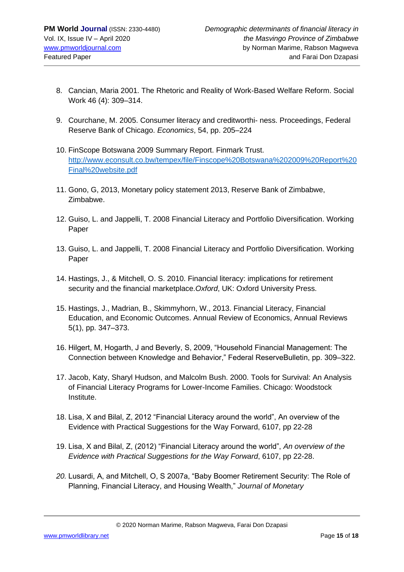- 8. Cancian, Maria 2001. The Rhetoric and Reality of Work-Based Welfare Reform. Social Work 46 (4): 309–314.
- 9. Courchane, M. 2005. Consumer literacy and creditworthi- ness. Proceedings, Federal Reserve Bank of Chicago. *Economics*, 54, pp. 205–224
- 10. FinScope Botswana 2009 Summary Report. Finmark Trust. [http://www.econsult.co.bw/tempex/file/Finscope%20Botswana%202009%20Report%20](http://www.econsult.co.bw/tempex/file/Finscope%20Botswana%202009%20Report%20Final%20website.pdf) [Final%20website.pdf](http://www.econsult.co.bw/tempex/file/Finscope%20Botswana%202009%20Report%20Final%20website.pdf)
- 11. Gono, G, 2013, Monetary policy statement 2013, Reserve Bank of Zimbabwe, Zimbabwe.
- 12. Guiso, L. and Jappelli, T. 2008 Financial Literacy and Portfolio Diversification. Working Paper
- 13. Guiso, L. and Jappelli, T. 2008 Financial Literacy and Portfolio Diversification. Working Paper
- 14. Hastings, J., & Mitchell, O. S. 2010. Financial literacy: implications for retirement security and the financial marketplace.*Oxford*, UK: Oxford University Press.
- 15. Hastings, J., Madrian, B., Skimmyhorn, W., 2013. Financial Literacy, Financial Education, and Economic Outcomes. Annual Review of Economics, Annual Reviews 5(1), pp. 347–373.
- 16. Hilgert, M, Hogarth, J and Beverly, S, 2009, "Household Financial Management: The Connection between Knowledge and Behavior," Federal ReserveBulletin, pp. 309–322.
- 17. Jacob, Katy, Sharyl Hudson, and Malcolm Bush. 2000. Tools for Survival: An Analysis of Financial Literacy Programs for Lower-Income Families. Chicago: Woodstock Institute.
- 18. Lisa, X and Bilal, Z, 2012 "Financial Literacy around the world", An overview of the Evidence with Practical Suggestions for the Way Forward, 6107, pp 22-28
- 19. Lisa, X and Bilal, Z, (2012) "Financial Literacy around the world", *An overview of the Evidence with Practical Suggestions for the Way Forward*, 6107, pp 22-28.
- *20.* Lusardi, A, and Mitchell, O, S 2007a, "Baby Boomer Retirement Security: The Role of Planning, Financial Literacy, and Housing Wealth," *Journal of Monetary*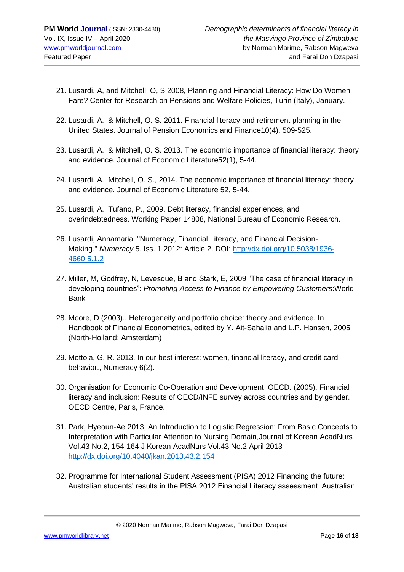- 21. Lusardi, A, and Mitchell, O, S 2008, Planning and Financial Literacy: How Do Women Fare? Center for Research on Pensions and Welfare Policies, Turin (Italy), January.
- 22. Lusardi, A., & Mitchell, O. S. 2011. Financial literacy and retirement planning in the United States. Journal of Pension Economics and Finance10(4), 509-525.
- 23. Lusardi, A., & Mitchell, O. S. 2013. The economic importance of financial literacy: theory and evidence. Journal of Economic Literature52(1), 5-44.
- 24. Lusardi, A., Mitchell, O. S., 2014. The economic importance of financial literacy: theory and evidence. Journal of Economic Literature 52, 5-44.
- 25. Lusardi, A., Tufano, P., 2009. Debt literacy, financial experiences, and overindebtedness. Working Paper 14808, National Bureau of Economic Research.
- 26. Lusardi, Annamaria. "Numeracy, Financial Literacy, and Financial Decision-Making." *Numeracy* 5, Iss. 1 2012: Article 2. DOI: [http://dx.doi.org/10.5038/1936-](http://dx.doi.org/10.5038/1936-4660.5.1.2) [4660.5.1.2](http://dx.doi.org/10.5038/1936-4660.5.1.2)
- 27. Miller, M, Godfrey, N, Levesque, B and Stark, E, 2009 "The case of financial literacy in developing countries": *Promoting Access to Finance by Empowering Customers*:World Bank
- 28. Moore, D (2003)., Heterogeneity and portfolio choice: theory and evidence. In Handbook of Financial Econometrics, edited by Y. Ait-Sahalia and L.P. Hansen, 2005 (North-Holland: Amsterdam)
- 29. Mottola, G. R. 2013. In our best interest: women, financial literacy, and credit card behavior., Numeracy 6(2).
- 30. Organisation for Economic Co-Operation and Development .OECD. (2005). Financial literacy and inclusion: Results of OECD/INFE survey across countries and by gender. OECD Centre, Paris, France.
- 31. Park, Hyeoun-Ae 2013, An Introduction to Logistic Regression: From Basic Concepts to Interpretation with Particular Attention to Nursing Domain,Journal of Korean AcadNurs Vol.43 No.2, 154-164 J Korean AcadNurs Vol.43 No.2 April 2013 <http://dx.doi.org/10.4040/jkan.2013.43.2.154>
- 32. Programme for International Student Assessment (PISA) 2012 Financing the future: Australian students' results in the PISA 2012 Financial Literacy assessment. Australian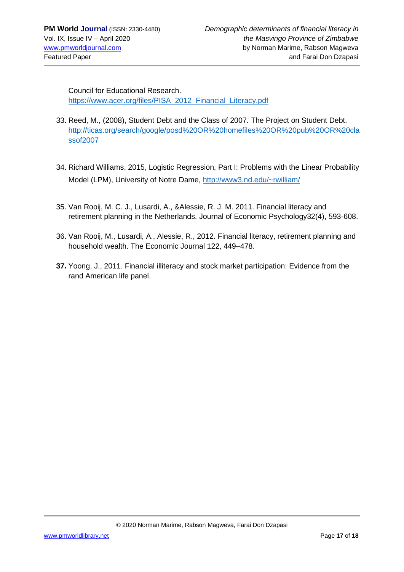Council for Educational Research. [https://www.acer.org/files/PISA\\_2012\\_Financial\\_Literacy.pdf](https://www.acer.org/files/PISA_2012_Financial_Literacy.pdf)

- 33. Reed, M., (2008), Student Debt and the Class of 2007. The Project on Student Debt. [http://ticas.org/search/google/posd%20OR%20homefiles%20OR%20pub%20OR%20cla](http://ticas.org/search/google/posd%20OR%20homefiles%20OR%20pub%20OR%20classof2007) [ssof2007](http://ticas.org/search/google/posd%20OR%20homefiles%20OR%20pub%20OR%20classof2007)
- 34. Richard Williams, 2015, Logistic Regression, Part I: Problems with the Linear Probability Model (LPM), University of Notre Dame,<http://www3.nd.edu/~rwilliam/>
- 35. Van Rooij, M. C. J., Lusardi, A., &Alessie, R. J. M. 2011. Financial literacy and retirement planning in the Netherlands. Journal of Economic Psychology32(4), 593-608.
- 36. Van Rooij, M., Lusardi, A., Alessie, R., 2012. Financial literacy, retirement planning and household wealth. The Economic Journal 122, 449–478.
- **37.** Yoong, J., 2011. Financial illiteracy and stock market participation: Evidence from the rand American life panel.